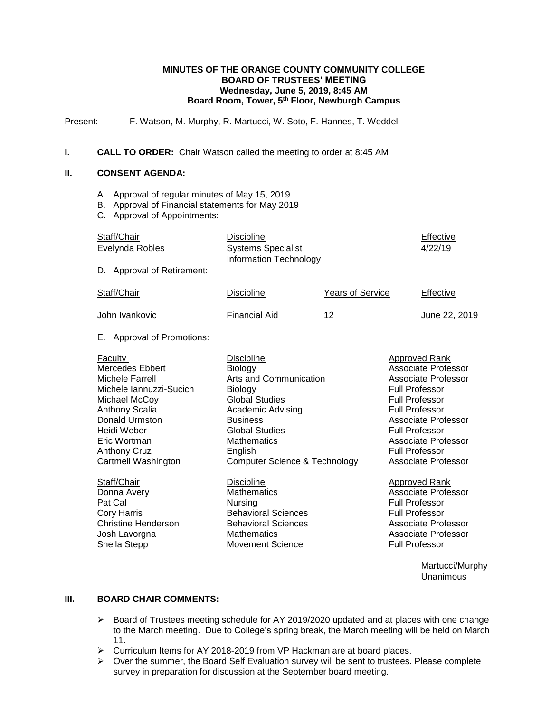#### **MINUTES OF THE ORANGE COUNTY COMMUNITY COLLEGE BOARD OF TRUSTEES' MEETING Wednesday, June 5, 2019, 8:45 AM Board Room, Tower, 5th Floor, Newburgh Campus**

Present: F. Watson, M. Murphy, R. Martucci, W. Soto, F. Hannes, T. Weddell

#### **I. CALL TO ORDER:** Chair Watson called the meeting to order at 8:45 AM

## **II. CONSENT AGENDA:**

- A. Approval of regular minutes of May 15, 2019
- B. Approval of Financial statements for May 2019
- C. Approval of Appointments:

| Staff/Chair<br>Evelynda Robles<br>D. Approval of Retirement:                                                                                                                                                      | <b>Discipline</b><br><b>Systems Specialist</b><br>Information Technology                                                                                                                                                                 |                         | Effective<br>4/22/19                                                                                                                                                                                                                                   |
|-------------------------------------------------------------------------------------------------------------------------------------------------------------------------------------------------------------------|------------------------------------------------------------------------------------------------------------------------------------------------------------------------------------------------------------------------------------------|-------------------------|--------------------------------------------------------------------------------------------------------------------------------------------------------------------------------------------------------------------------------------------------------|
| Staff/Chair                                                                                                                                                                                                       | <b>Discipline</b>                                                                                                                                                                                                                        | <b>Years of Service</b> | Effective                                                                                                                                                                                                                                              |
| John Ivankovic                                                                                                                                                                                                    | <b>Financial Aid</b>                                                                                                                                                                                                                     | 12                      | June 22, 2019                                                                                                                                                                                                                                          |
| <b>Approval of Promotions:</b><br>Е.                                                                                                                                                                              |                                                                                                                                                                                                                                          |                         |                                                                                                                                                                                                                                                        |
| Faculty<br><b>Mercedes Ebbert</b><br>Michele Farrell<br>Michele Iannuzzi-Sucich<br>Michael McCoy<br>Anthony Scalia<br>Donald Urmston<br>Heidi Weber<br>Eric Wortman<br><b>Anthony Cruz</b><br>Cartmell Washington | <b>Discipline</b><br>Biology<br>Arts and Communication<br>Biology<br><b>Global Studies</b><br>Academic Advising<br><b>Business</b><br><b>Global Studies</b><br><b>Mathematics</b><br>English<br><b>Computer Science &amp; Technology</b> |                         | Approved Rank<br>Associate Professor<br>Associate Professor<br><b>Full Professor</b><br><b>Full Professor</b><br>Full Professor<br>Associate Professor<br><b>Full Professor</b><br>Associate Professor<br><b>Full Professor</b><br>Associate Professor |
| Staff/Chair<br>Donna Avery<br>Pat Cal<br><b>Cory Harris</b><br><b>Christine Henderson</b><br>Josh Lavorgna<br>Sheila Stepp                                                                                        | <b>Discipline</b><br><b>Mathematics</b><br>Nursing<br><b>Behavioral Sciences</b><br><b>Behavioral Sciences</b><br><b>Mathematics</b><br><b>Movement Science</b>                                                                          |                         | <b>Approved Rank</b><br><b>Associate Professor</b><br><b>Full Professor</b><br><b>Full Professor</b><br><b>Associate Professor</b><br>Associate Professor<br><b>Full Professor</b>                                                                     |

Martucci/Murphy Unanimous

## **III. BOARD CHAIR COMMENTS:**

- $\triangleright$  Board of Trustees meeting schedule for AY 2019/2020 updated and at places with one change to the March meeting. Due to College's spring break, the March meeting will be held on March 11.
- Curriculum Items for AY 2018-2019 from VP Hackman are at board places.
- $\triangleright$  Over the summer, the Board Self Evaluation survey will be sent to trustees. Please complete survey in preparation for discussion at the September board meeting.